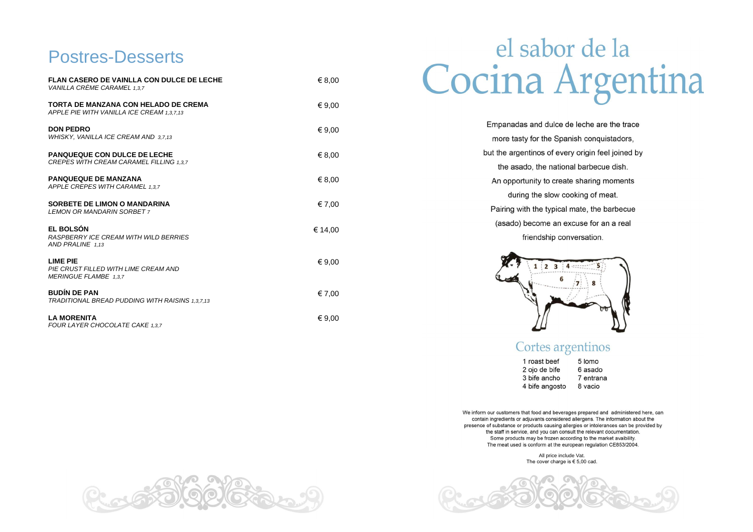#### **Postres-Desserts**

| <b>FLAN CASERO DE VAINLLA CON DULCE DE LECHE</b><br>VANILLA CRÈME CARAMEL 1,3,7          | € 8,00  |
|------------------------------------------------------------------------------------------|---------|
| <b>TORTA DE MANZANA CON HELADO DE CREMA</b><br>APPLE PIE WITH VANILLA ICE CREAM 1.3.7.13 | € 9,00  |
| <b>DON PEDRO</b><br>WHISKY, VANILLA ICE CREAM AND 3,7,13                                 | € 9,00  |
| <b>PANQUEQUE CON DULCE DE LECHE</b><br>CREPES WITH CREAM CARAMEL FILLING 1,3,7           | € 8,00  |
| <b>PANQUEQUE DE MANZANA</b><br>APPLE CREPES WITH CARAMEL 1,3,7                           | € 8,00  |
| <b>SORBETE DE LIMON O MANDARINA</b><br><b>LEMON OR MANDARIN SORBET 7</b>                 | € 7,00  |
| <b>EL BOLSÓN</b><br>RASPBERRY ICE CREAM WITH WILD BERRIES<br>AND PRALINE 1,13            | € 14,00 |
| <b>LIME PIE</b><br>PIE CRUST FILLED WITH LIME CREAM AND<br>MERINGUE FLAMBE 1,3,7         | € 9,00  |
| <b>BUDÍN DE PAN</b><br>TRADITIONAL BREAD PUDDING WITH RAISINS 1,3,7,13                   | € 7,00  |
| <b>LA MORENITA</b><br>FOUR LAYER CHOCOLATE CAKE 1.3.7                                    | € 9,00  |

# el sabor de la Cocina Argentina

| Empanadas and dulce d     |
|---------------------------|
| more tasty for the Spar   |
| but the argentinos of eve |
| the asado, the nation     |
| An opportunity to creat   |
| during the slow co        |
| Pairing with the typical  |
| (asado) become an e:      |
| friendship cor            |



#### Cortes argentinos

1 roast beef 2 ojo de bife 3 bife ancho 4 bife angosto

We inform our customers that food and beverages prepared and administered here, can contain ingredients or adjuvants considered allergens. The information about the presence of substance or products causing allergies or intolerances can be provided by the staff in service, and you can consult the relevant documentation. Some products may be frozen according to the market avaibility. The meat used is conform at the european regulation CE853/2004.

> All price include Vat. The cover charge is  $\in$  5,00 cad.





- de leche are the trace inish conquistadors, ery origin feel joined by hal barbecue dish. te sharing moments ooking of meat. mate, the barbecue excuse for an a real
- nversation.

- 5 lomo
- 6 asado
- 7 entrana
- 8 vacio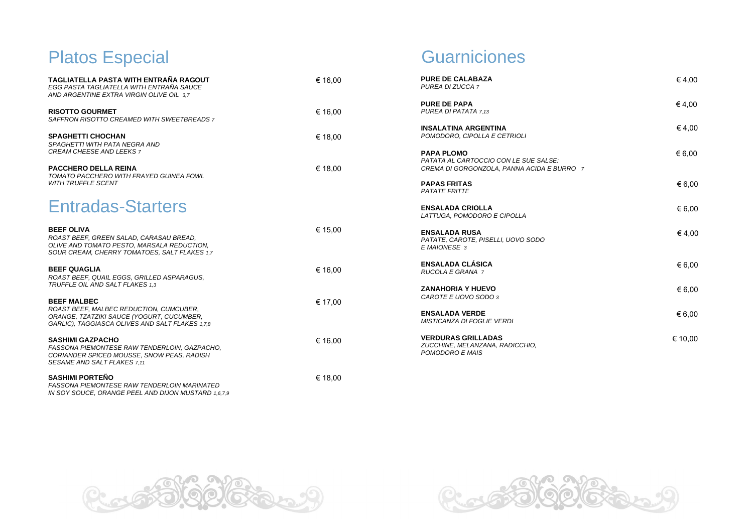# Platos Especial

- $\in$  4,00
- $\in$  4,00
- 
- $\epsilon$  6,00
	- $\epsilon$  6,00
	- € 6,00
	- $\in$  4,00
	- $\epsilon$  6,00
	- € 6,00
	- $\epsilon$  6,00
	- € 10,00

**Guarniciones** 

| TAGLIATELLA PASTA WITH ENTRAÑA RAGOUT<br>EGG PASTA TAGLIATELLA WITH ENTRAÑA SAUCE<br>AND ARGENTINE EXTRA VIRGIN OLIVE OIL 3.7                              | € 16,00 | <b>PURE DE CALABAZA</b><br>PUREA DI ZUCCA 7                                                              | €4,00           |
|------------------------------------------------------------------------------------------------------------------------------------------------------------|---------|----------------------------------------------------------------------------------------------------------|-----------------|
| <b>RISOTTO GOURMET</b><br>SAFFRON RISOTTO CREAMED WITH SWEETBREADS 7                                                                                       | € 16,00 | <b>PURE DE PAPA</b><br>PUREA DI PATATA 7.13                                                              | €4,00           |
| <b>SPAGHETTI CHOCHAN</b><br>SPAGHETTI WITH PATA NEGRA AND                                                                                                  | € 18,00 | <b>INSALATINA ARGENTINA</b><br>POMODORO, CIPOLLA E CETRIOLI                                              | €4,00           |
| CREAM CHEESE AND LEEKS 7<br><b>PACCHERO DELLA REINA</b><br>TOMATO PACCHERO WITH FRAYED GUINEA FOWL                                                         | € 18,00 | <b>PAPA PLOMO</b><br>PATATA AL CARTOCCIO CON LE SUE SALSE:<br>CREMA DI GORGONZOLA, PANNA ACIDA E BURRO 7 | € 6,00          |
| <b>WITH TRUFFLE SCENT</b>                                                                                                                                  |         | <b>PAPAS FRITAS</b><br>PATATE FRITTE                                                                     | € 6,00          |
| <b>Entradas-Starters</b>                                                                                                                                   |         | <b>ENSALADA CRIOLLA</b><br>LATTUGA, POMODORO E CIPOLLA                                                   | € 6.00          |
| <b>BEEF OLIVA</b><br>ROAST BEEF, GREEN SALAD, CARASAU BREAD,<br>OLIVE AND TOMATO PESTO, MARSALA REDUCTION,<br>SOUR CREAM, CHERRY TOMATOES, SALT FLAKES 1,7 | € 15,00 | <b>ENSALADA RUSA</b><br>PATATE, CAROTE, PISELLI, UOVO SODO<br>E MAIONESE 3                               | €4,00           |
| <b>BEEF QUAGLIA</b><br>ROAST BEEF, QUAIL EGGS, GRILLED ASPARAGUS,                                                                                          | € 16,00 | <b>ENSALADA CLÁSICA</b><br>RUCOLA E GRANA 7                                                              | € 6,00          |
| TRUFFLE OIL AND SALT FLAKES 1,3<br><b>BEEF MALBEC</b>                                                                                                      | € 17,00 | <b>ZANAHORIA Y HUEVO</b><br>CAROTE E UOVO SODO 3                                                         | $\epsilon$ 6,00 |
| ROAST BEEF, MALBEC REDUCTION, CUMCUBER,<br>ORANGE, TZATZIKI SAUCE (YOGURT, CUCUMBER,<br>GARLIC), TAGGIASCA OLIVES AND SALT FLAKES 1,7,8                    |         | <b>ENSALADA VERDE</b><br>MISTICANZA DI FOGLIE VERDI                                                      | € 6,00          |
| <b>SASHIMI GAZPACHO</b><br>FASSONA PIEMONTESE RAW TENDERLOIN, GAZPACHO,<br>CORIANDER SPICED MOUSSE, SNOW PEAS, RADISH<br>SESAME AND SALT FLAKES 7.11       | € 16,00 | <b>VERDURAS GRILLADAS</b><br>ZUCCHINE, MELANZANA, RADICCHIO,<br>POMODORO E MAIS                          | € 10.00         |
| <b>SASHIMI PORTEÑO</b><br>FASSONA PIEMONTESE RAW TENDERLOIN MARINATED<br>IN SOY SOUCE, ORANGE PEEL AND DIJON MUSTARD 1,6,7,9                               | € 18,00 |                                                                                                          |                 |



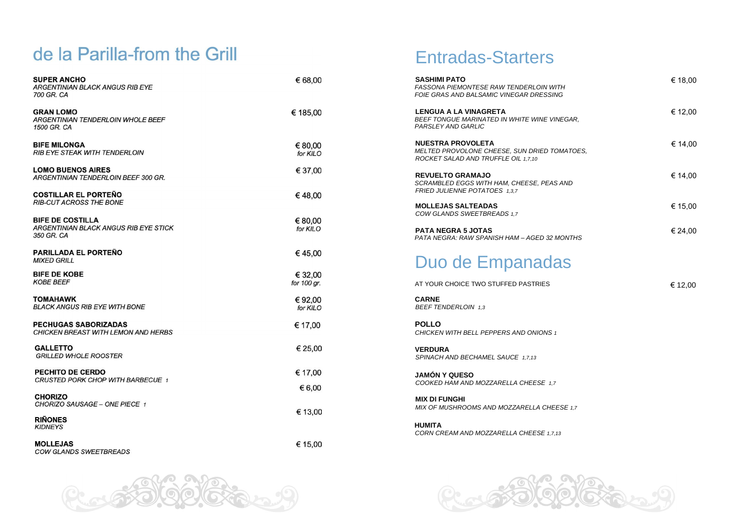## Entradas-Starters

## de la Parilla-from the Grill

| <b>SUPER ANCHO</b><br><b>ARGENTINIAN BLACK ANGUS RIB EYE</b><br>700 GR. CA     | € 68,00                | <b>SASHIMI PATO</b><br>FASSONA PIEMONTESE RAW TENDERLOIN WITH<br>FOIE GRAS AND BALSAMIC VINEGAR DRESSING    |
|--------------------------------------------------------------------------------|------------------------|-------------------------------------------------------------------------------------------------------------|
| <b>GRAN LOMO</b><br><b>ARGENTINIAN TENDERLOIN WHOLE BEEF</b><br>1500 GR. CA    | € 185,00               | <b>LENGUA A LA VINAGRETA</b><br>BEEF TONGUE MARINATED IN WHITE WINE VINEGA<br>PARSLEY AND GARLIC            |
| <b>BIFE MILONGA</b><br><b>RIB EYE STEAK WITH TENDERLOIN</b>                    | € 80,00<br>for KILO    | <b>NUESTRA PROVOLETA</b><br>MELTED PROVOLONE CHEESE, SUN DRIED TOMAT<br>ROCKET SALAD AND TRUFFLE OIL 1,7,10 |
| <b>LOMO BUENOS AIRES</b><br>ARGENTINIAN TENDERLOIN BEEF 300 GR.                | € 37,00                | <b>REVUELTO GRAMAJO</b><br>SCRAMBLED EGGS WITH HAM, CHEESE, PEAS AND                                        |
| <b>COSTILLAR EL PORTEÑO</b><br><b>RIB-CUT ACROSS THE BONE</b>                  | €48,00                 | FRIED JULIENNE POTATOES 1,3,7                                                                               |
|                                                                                |                        | <b>MOLLEJAS SALTEADAS</b><br>COW GLANDS SWEETBREADS 1,7                                                     |
| <b>BIFE DE COSTILLA</b><br>ARGENTINIAN BLACK ANGUS RIB EYE STICK<br>350 GR. CA | € 80,00<br>for KILO    | <b>PATA NEGRA 5 JOTAS</b><br>PATA NEGRA: RAW SPANISH HAM - AGED 32 MONT                                     |
| <b>PARILLADA EL PORTEÑO</b><br><b>MIXED GRILL</b>                              | €45,00                 | Duo de Empanadas                                                                                            |
| <b>BIFE DE KOBE</b><br><b>KOBE BEEF</b>                                        | € 32,00<br>for 100 gr. | AT YOUR CHOICE TWO STUFFED PASTRIES                                                                         |
| <b>TOMAHAWK</b><br><b>BLACK ANGUS RIB EYE WITH BONE</b>                        | €92,00<br>for KILO     | <b>CARNE</b><br><b>BEEF TENDERLOIN 1,3</b>                                                                  |
| <b>PECHUGAS SABORIZADAS</b><br>CHICKEN BREAST WITH LEMON AND HERBS             | € 17,00                | <b>POLLO</b><br>CHICKEN WITH BELL PEPPERS AND ONIONS 1                                                      |
| <b>GALLETTO</b><br><b>GRILLED WHOLE ROOSTER</b>                                | € 25,00                | <b>VERDURA</b><br>SPINACH AND BECHAMEL SAUCE 1,7,13                                                         |
| PECHITO DE CERDO<br>CRUSTED PORK CHOP WITH BARBECUE 1                          | € 17,00                | <b>JAMÓN Y QUESO</b>                                                                                        |
| <b>CHORIZO</b>                                                                 | € 6,00                 | COOKED HAM AND MOZZARELLA CHEESE 1.7                                                                        |
| CHORIZO SAUSAGE - ONE PIECE 1                                                  | € 13,00                | <b>MIX DI FUNGHI</b><br>MIX OF MUSHROOMS AND MOZZARELLA CHEESE                                              |
| <b>RIÑONES</b><br><b>KIDNEYS</b>                                               |                        | <b>HUMITA</b><br>CORN CREAM AND MOZZARELLA CHEESE 1,7,13                                                    |
| <b>MOLLEJAS</b><br>COW GLANDS SWEETBREADS                                      | € 15,00                |                                                                                                             |



|            | € 18,00 |
|------------|---------|
| AR,        | € 12,00 |
| TOES,      | € 14,00 |
| D          | € 14,00 |
|            | € 15,00 |
| <b>THS</b> | € 24,00 |
|            |         |

€ 12,00

*MIX OHEESE* 1,7